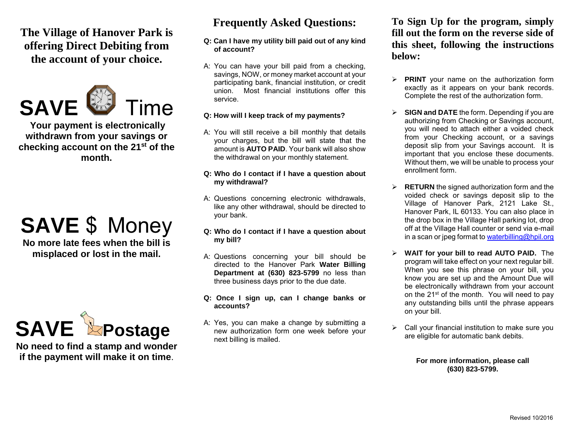**The Village of Hanover Park is offering Direct Debiting from the account of your choice.**



**Your payment is electronically withdrawn from your savings or checking account on the 21st of the month.**

## **SAVE** \$ Money

**No more late fees when the bill is misplaced or lost in the mail.**



**No need to find a stamp and wonder if the payment will make it on time**.

### **Frequently Asked Questions:**

#### **Q: Can I have my utility bill paid out of any kind of account?**

A: You can have your bill paid from a checking, savings, NOW, or money market account at your participating bank, financial institution, or credit union. Most financial institutions offer this service.

#### **Q: How will I keep track of my payments?**

A: You will still receive a bill monthly that details your charges, but the bill will state that the amount is **AUTO PAID**. Your bank will also show the withdrawal on your monthly statement.

#### **Q: Who do I contact if I have a question about my withdrawal?**

- A: Questions concerning electronic withdrawals, like any other withdrawal, should be directed to your bank.
- **Q: Who do I contact if I have a question about my bill?**
- A: Questions concerning your bill should be directed to the Hanover Park **Water Billing Department at (630) 823-5799** no less than three business days prior to the due date.
- **Q: Once I sign up, can I change banks or accounts?**
- A: Yes, you can make a change by submitting a new authorization form one week before your next billing is mailed.

**To Sign Up for the program, simply fill out the form on the reverse side of this sheet, following the instructions below:**

- **PRINT** your name on the authorization form exactly as it appears on your bank records. Complete the rest of the authorization form.
- **SIGN and DATE** the form. Depending if you are authorizing from Checking or Savings account, you will need to attach either a voided check from your Checking account, or a savings deposit slip from your Savings account. It is important that you enclose these documents. Without them, we will be unable to process your enrollment form.
- **RETURN** the signed authorization form and the voided check or savings deposit slip to the Village of Hanover Park, 2121 Lake St., Hanover Park, IL 60133. You can also place in the drop box in the Village Hall parking lot, drop off at the Village Hall counter or send via e-mail in a scan or jpeg format t[o waterbilling@hpil.org](mailto:waterbilling@hpil.org)
- **WAIT for your bill to read AUTO PAID.** The program will take effect on your next regular bill. When you see this phrase on your bill, you know you are set up and the Amount Due will be electronically withdrawn from your account on the 21st of the month. You will need to pay any outstanding bills until the phrase appears on your bill.
- $\triangleright$  Call your financial institution to make sure you are eligible for automatic bank debits.

**For more information, please call (630) 823-5799.**